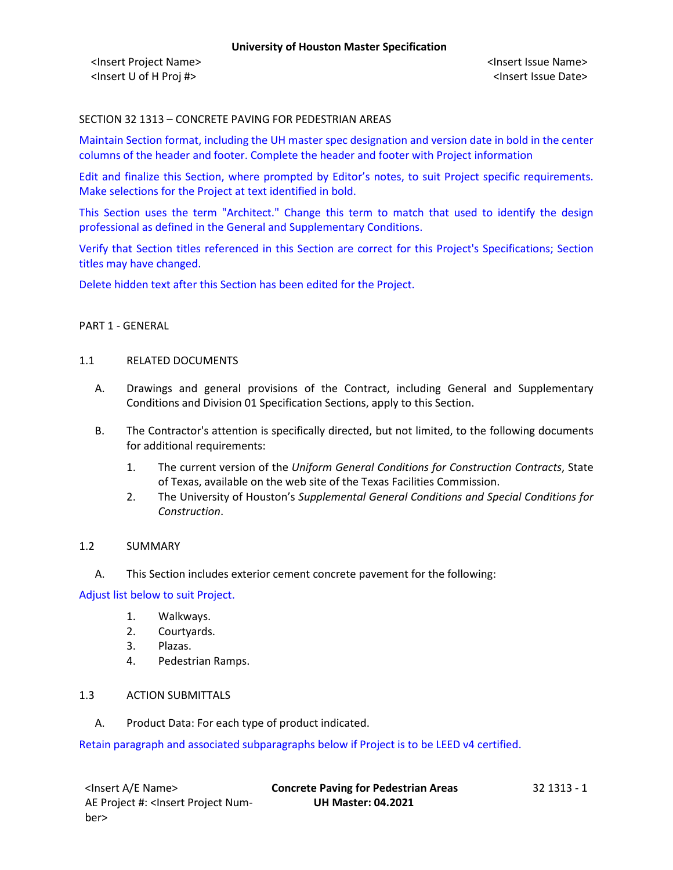## SECTION 32 1313 – CONCRETE PAVING FOR PEDESTRIAN AREAS

Maintain Section format, including the UH master spec designation and version date in bold in the center columns of the header and footer. Complete the header and footer with Project information

Edit and finalize this Section, where prompted by Editor's notes, to suit Project specific requirements. Make selections for the Project at text identified in bold.

This Section uses the term "Architect." Change this term to match that used to identify the design professional as defined in the General and Supplementary Conditions.

Verify that Section titles referenced in this Section are correct for this Project's Specifications; Section titles may have changed.

Delete hidden text after this Section has been edited for the Project.

# PART 1 - GENERAL

#### 1.1 RELATED DOCUMENTS

- A. Drawings and general provisions of the Contract, including General and Supplementary Conditions and Division 01 Specification Sections, apply to this Section.
- B. The Contractor's attention is specifically directed, but not limited, to the following documents for additional requirements:
	- 1. The current version of the *Uniform General Conditions for Construction Contracts*, State of Texas, available on the web site of the Texas Facilities Commission.
	- 2. The University of Houston's *Supplemental General Conditions and Special Conditions for Construction*.

#### 1.2 SUMMARY

A. This Section includes exterior cement concrete pavement for the following:

#### Adjust list below to suit Project.

- 1. Walkways.
- 2. Courtyards.
- 3. Plazas.
- 4. Pedestrian Ramps.

# 1.3 ACTION SUBMITTALS

A. Product Data: For each type of product indicated.

Retain paragraph and associated subparagraphs below if Project is to be LEED v4 certified.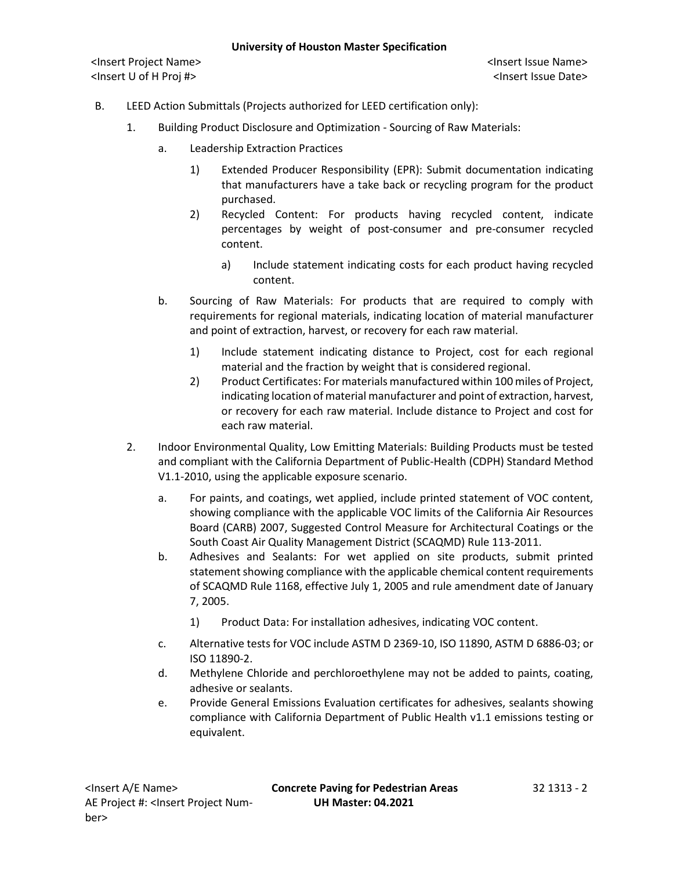- B. LEED Action Submittals (Projects authorized for LEED certification only):
	- 1. Building Product Disclosure and Optimization Sourcing of Raw Materials:
		- a. Leadership Extraction Practices
			- 1) Extended Producer Responsibility (EPR): Submit documentation indicating that manufacturers have a take back or recycling program for the product purchased.
			- 2) Recycled Content: For products having recycled content, indicate percentages by weight of post-consumer and pre-consumer recycled content.
				- a) Include statement indicating costs for each product having recycled content.
		- b. Sourcing of Raw Materials: For products that are required to comply with requirements for regional materials, indicating location of material manufacturer and point of extraction, harvest, or recovery for each raw material.
			- 1) Include statement indicating distance to Project, cost for each regional material and the fraction by weight that is considered regional.
			- 2) Product Certificates: For materials manufactured within 100 miles of Project, indicating location of material manufacturer and point of extraction, harvest, or recovery for each raw material. Include distance to Project and cost for each raw material.
	- 2. Indoor Environmental Quality, Low Emitting Materials: Building Products must be tested and compliant with the California Department of Public-Health (CDPH) Standard Method V1.1-2010, using the applicable exposure scenario.
		- a. For paints, and coatings, wet applied, include printed statement of VOC content, showing compliance with the applicable VOC limits of the California Air Resources Board (CARB) 2007, Suggested Control Measure for Architectural Coatings or the South Coast Air Quality Management District (SCAQMD) Rule 113-2011.
		- b. Adhesives and Sealants: For wet applied on site products, submit printed statement showing compliance with the applicable chemical content requirements of SCAQMD Rule 1168, effective July 1, 2005 and rule amendment date of January 7, 2005.
			- 1) Product Data: For installation adhesives, indicating VOC content.
		- c. Alternative tests for VOC include ASTM D 2369-10, ISO 11890, ASTM D 6886-03; or ISO 11890-2.
		- d. Methylene Chloride and perchloroethylene may not be added to paints, coating, adhesive or sealants.
		- e. Provide General Emissions Evaluation certificates for adhesives, sealants showing compliance with California Department of Public Health v1.1 emissions testing or equivalent.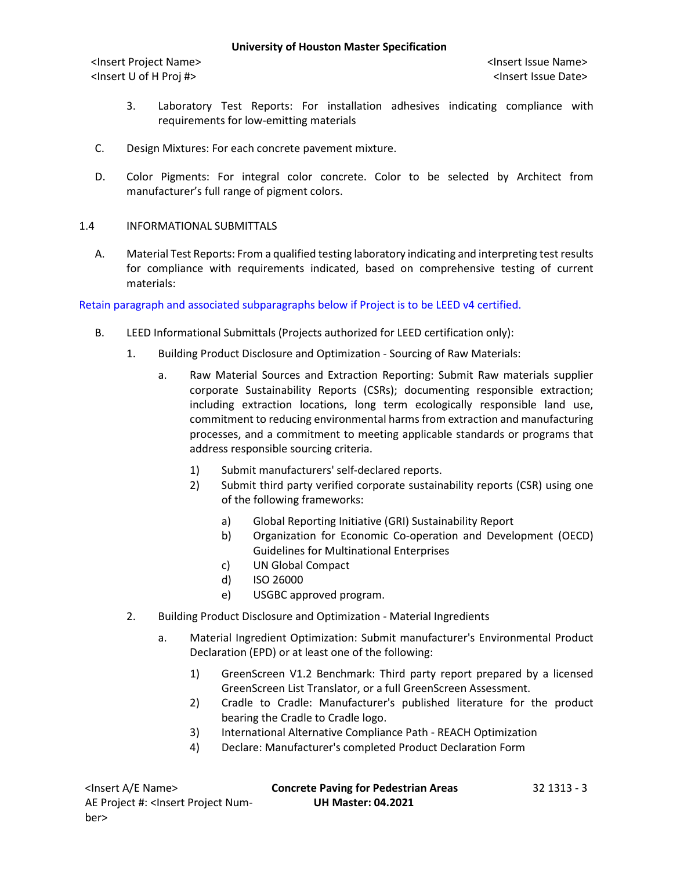- 3. Laboratory Test Reports: For installation adhesives indicating compliance with requirements for low-emitting materials
- C. Design Mixtures: For each concrete pavement mixture.
- D. Color Pigments: For integral color concrete. Color to be selected by Architect from manufacturer's full range of pigment colors.

# 1.4 INFORMATIONAL SUBMITTALS

A. Material Test Reports: From a qualified testing laboratory indicating and interpreting test results for compliance with requirements indicated, based on comprehensive testing of current materials:

Retain paragraph and associated subparagraphs below if Project is to be LEED v4 certified.

- B. LEED Informational Submittals (Projects authorized for LEED certification only):
	- 1. Building Product Disclosure and Optimization Sourcing of Raw Materials:
		- a. Raw Material Sources and Extraction Reporting: Submit Raw materials supplier corporate Sustainability Reports (CSRs); documenting responsible extraction; including extraction locations, long term ecologically responsible land use, commitment to reducing environmental harms from extraction and manufacturing processes, and a commitment to meeting applicable standards or programs that address responsible sourcing criteria.
			- 1) Submit manufacturers' self-declared reports.
			- 2) Submit third party verified corporate sustainability reports (CSR) using one of the following frameworks:
				- a) Global Reporting Initiative (GRI) Sustainability Report
				- b) Organization for Economic Co-operation and Development (OECD) Guidelines for Multinational Enterprises
				- c) UN Global Compact
				- d) ISO 26000
				- e) USGBC approved program.
	- 2. Building Product Disclosure and Optimization Material Ingredients
		- a. Material Ingredient Optimization: Submit manufacturer's Environmental Product Declaration (EPD) or at least one of the following:
			- 1) GreenScreen V1.2 Benchmark: Third party report prepared by a licensed GreenScreen List Translator, or a full GreenScreen Assessment.
			- 2) Cradle to Cradle: Manufacturer's published literature for the product bearing the Cradle to Cradle logo.
			- 3) International Alternative Compliance Path REACH Optimization
			- 4) Declare: Manufacturer's completed Product Declaration Form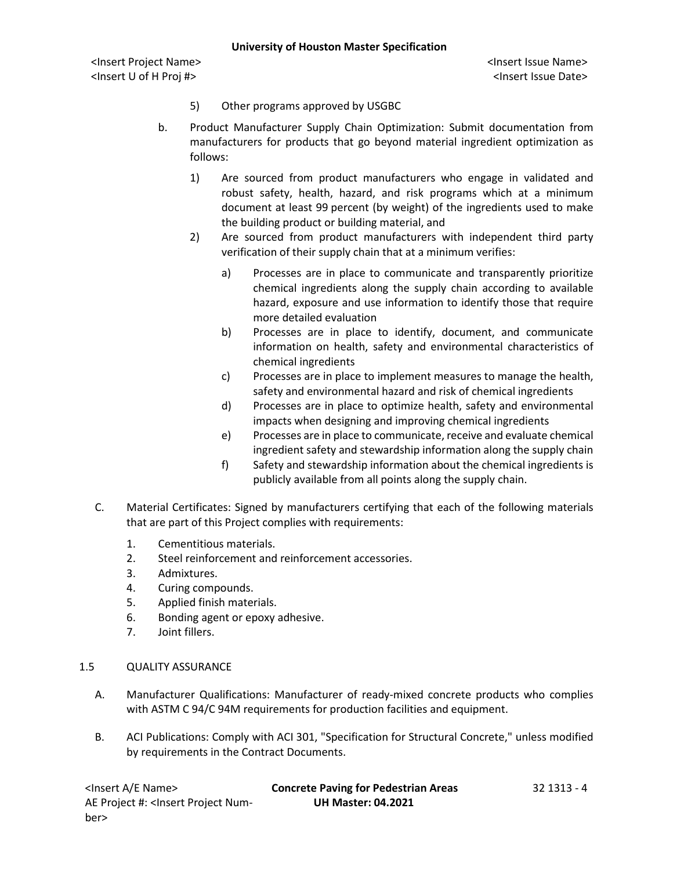<Insert Project Name> <Insert Issue Name> <Insert U of H Proj #> <Insert Issue Date>

- 5) Other programs approved by USGBC
- b. Product Manufacturer Supply Chain Optimization: Submit documentation from manufacturers for products that go beyond material ingredient optimization as follows:
	- 1) Are sourced from product manufacturers who engage in validated and robust safety, health, hazard, and risk programs which at a minimum document at least 99 percent (by weight) of the ingredients used to make the building product or building material, and
	- 2) Are sourced from product manufacturers with independent third party verification of their supply chain that at a minimum verifies:
		- a) Processes are in place to communicate and transparently prioritize chemical ingredients along the supply chain according to available hazard, exposure and use information to identify those that require more detailed evaluation
		- b) Processes are in place to identify, document, and communicate information on health, safety and environmental characteristics of chemical ingredients
		- c) Processes are in place to implement measures to manage the health, safety and environmental hazard and risk of chemical ingredients
		- d) Processes are in place to optimize health, safety and environmental impacts when designing and improving chemical ingredients
		- e) Processes are in place to communicate, receive and evaluate chemical ingredient safety and stewardship information along the supply chain
		- f) Safety and stewardship information about the chemical ingredients is publicly available from all points along the supply chain.
- C. Material Certificates: Signed by manufacturers certifying that each of the following materials that are part of this Project complies with requirements:
	- 1. Cementitious materials.
	- 2. Steel reinforcement and reinforcement accessories.
	- 3. Admixtures.
	- 4. Curing compounds.
	- 5. Applied finish materials.
	- 6. Bonding agent or epoxy adhesive.
	- 7. Joint fillers.

# 1.5 QUALITY ASSURANCE

- A. Manufacturer Qualifications: Manufacturer of ready-mixed concrete products who complies with ASTM C 94/C 94M requirements for production facilities and equipment.
- B. ACI Publications: Comply with ACI 301, "Specification for Structural Concrete," unless modified by requirements in the Contract Documents.

| <lnsert a="" e="" name=""></lnsert>                                                                  | <b>Concrete Paving for Pedestrian Areas</b> | 32 1313 - 4 |
|------------------------------------------------------------------------------------------------------|---------------------------------------------|-------------|
| AE Project #: <lnsert num-<="" project="" td=""><td><b>UH Master: 04.2021</b></td><td></td></lnsert> | <b>UH Master: 04.2021</b>                   |             |
| ber>                                                                                                 |                                             |             |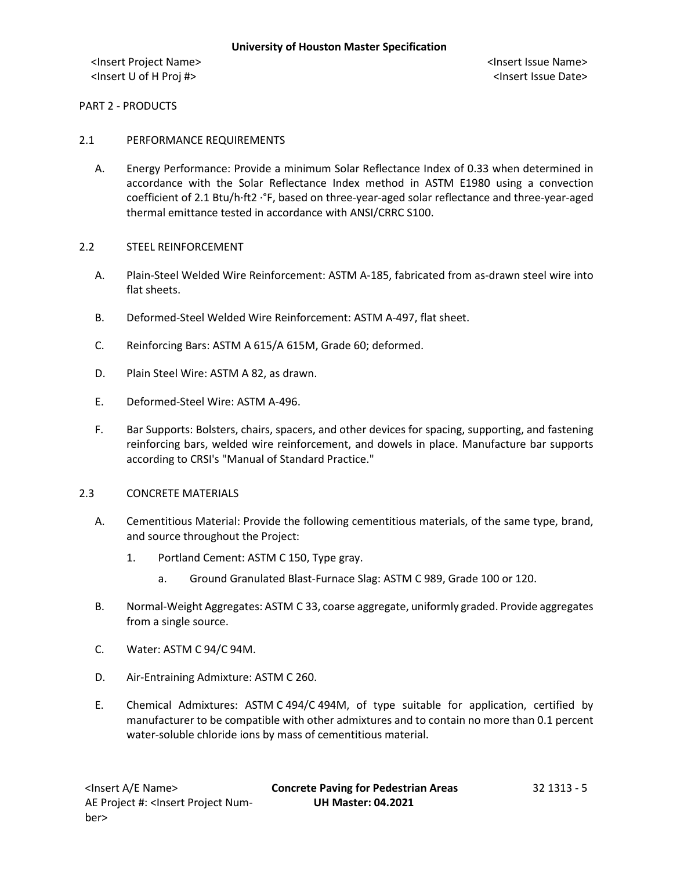# PART 2 - PRODUCTS

## 2.1 PERFORMANCE REQUIREMENTS

- A. Energy Performance: Provide a minimum Solar Reflectance Index of 0.33 when determined in accordance with the Solar Reflectance Index method in ASTM E1980 using a convection coefficient of 2.1 Btu/h·ft2 ·°F, based on three-year-aged solar reflectance and three-year-aged thermal emittance tested in accordance with ANSI/CRRC S100.
- 2.2 STEEL REINFORCEMENT
	- A. Plain-Steel Welded Wire Reinforcement: ASTM A-185, fabricated from as-drawn steel wire into flat sheets.
	- B. Deformed-Steel Welded Wire Reinforcement: ASTM A-497, flat sheet.
	- C. Reinforcing Bars: ASTM A 615/A 615M, Grade 60; deformed.
	- D. Plain Steel Wire: ASTM A 82, as drawn.
	- E. Deformed-Steel Wire: ASTM A-496.
	- F. Bar Supports: Bolsters, chairs, spacers, and other devices for spacing, supporting, and fastening reinforcing bars, welded wire reinforcement, and dowels in place. Manufacture bar supports according to CRSI's "Manual of Standard Practice."

#### 2.3 CONCRETE MATERIALS

- A. Cementitious Material: Provide the following cementitious materials, of the same type, brand, and source throughout the Project:
	- 1. Portland Cement: ASTM C 150, Type gray.
		- a. Ground Granulated Blast-Furnace Slag: ASTM C 989, Grade 100 or 120.
- B. Normal-Weight Aggregates: ASTM C 33, coarse aggregate, uniformly graded. Provide aggregates from a single source.
- C. Water: ASTM C 94/C 94M.
- D. Air-Entraining Admixture: ASTM C 260.
- E. Chemical Admixtures: ASTM C 494/C 494M, of type suitable for application, certified by manufacturer to be compatible with other admixtures and to contain no more than 0.1 percent water-soluble chloride ions by mass of cementitious material.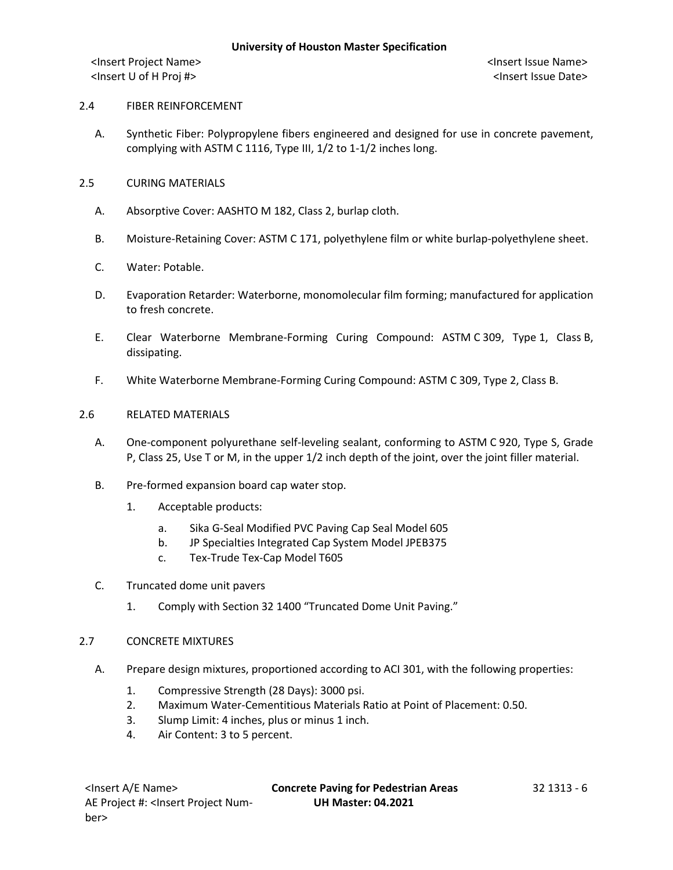# 2.4 FIBER REINFORCEMENT

- A. Synthetic Fiber: Polypropylene fibers engineered and designed for use in concrete pavement, complying with ASTM C 1116, Type III, 1/2 to 1-1/2 inches long.
- 2.5 CURING MATERIALS
	- A. Absorptive Cover: AASHTO M 182, Class 2, burlap cloth.
	- B. Moisture-Retaining Cover: ASTM C 171, polyethylene film or white burlap-polyethylene sheet.
	- C. Water: Potable.
	- D. Evaporation Retarder: Waterborne, monomolecular film forming; manufactured for application to fresh concrete.
	- E. Clear Waterborne Membrane-Forming Curing Compound: ASTM C 309, Type 1, Class B, dissipating.
	- F. White Waterborne Membrane-Forming Curing Compound: ASTM C 309, Type 2, Class B.

## 2.6 RELATED MATERIALS

- A. One-component polyurethane self-leveling sealant, conforming to ASTM C 920, Type S, Grade P, Class 25, Use T or M, in the upper 1/2 inch depth of the joint, over the joint filler material.
- B. Pre-formed expansion board cap water stop.
	- 1. Acceptable products:
		- a. Sika G-Seal Modified PVC Paving Cap Seal Model 605
		- b. JP Specialties Integrated Cap System Model JPEB375
		- c. Tex-Trude Tex-Cap Model T605
- C. Truncated dome unit pavers
	- 1. Comply with Section 32 1400 "Truncated Dome Unit Paving."

#### 2.7 CONCRETE MIXTURES

- A. Prepare design mixtures, proportioned according to ACI 301, with the following properties:
	- 1. Compressive Strength (28 Days): 3000 psi.
	- 2. Maximum Water-Cementitious Materials Ratio at Point of Placement: 0.50.
	- 3. Slump Limit: 4 inches, plus or minus 1 inch.
	- 4. Air Content: 3 to 5 percent.

<Insert A/E Name> **Concrete Paving for Pedestrian Areas** 32 1313 - 6 **UH Master: 04.2021**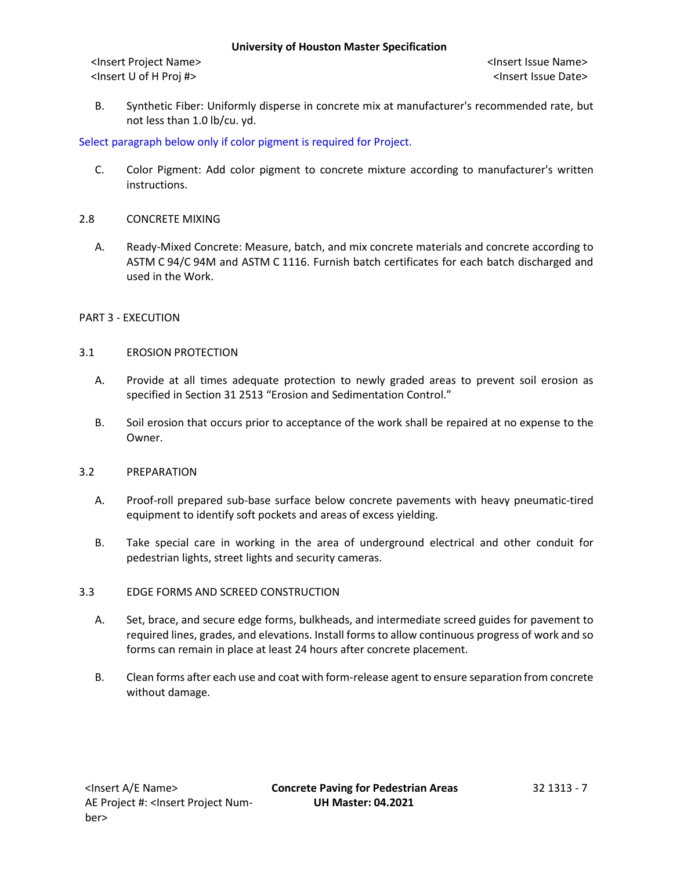<Insert Project Name> <Insert Issue Name> <Insert U of H Proj #> <Insert Issue Date>

B. Synthetic Fiber: Uniformly disperse in concrete mix at manufacturer's recommended rate, but not less than 1.0 lb/cu. yd.

# Select paragraph below only if color pigment is required for Project.

- C. Color Pigment: Add color pigment to concrete mixture according to manufacturer's written instructions.
- 2.8 CONCRETE MIXING
	- A. Ready-Mixed Concrete: Measure, batch, and mix concrete materials and concrete according to ASTM C 94/C 94M and ASTM C 1116. Furnish batch certificates for each batch discharged and used in the Work.

# PART 3 - EXECUTION

## 3.1 EROSION PROTECTION

- A. Provide at all times adequate protection to newly graded areas to prevent soil erosion as specified in Section 31 2513 "Erosion and Sedimentation Control."
- B. Soil erosion that occurs prior to acceptance of the work shall be repaired at no expense to the Owner.

# 3.2 PREPARATION

- A. Proof-roll prepared sub-base surface below concrete pavements with heavy pneumatic-tired equipment to identify soft pockets and areas of excess yielding.
- B. Take special care in working in the area of underground electrical and other conduit for pedestrian lights, street lights and security cameras.

# 3.3 EDGE FORMS AND SCREED CONSTRUCTION

- A. Set, brace, and secure edge forms, bulkheads, and intermediate screed guides for pavement to required lines, grades, and elevations. Install forms to allow continuous progress of work and so forms can remain in place at least 24 hours after concrete placement.
- B. Clean forms after each use and coat with form-release agent to ensure separation from concrete without damage.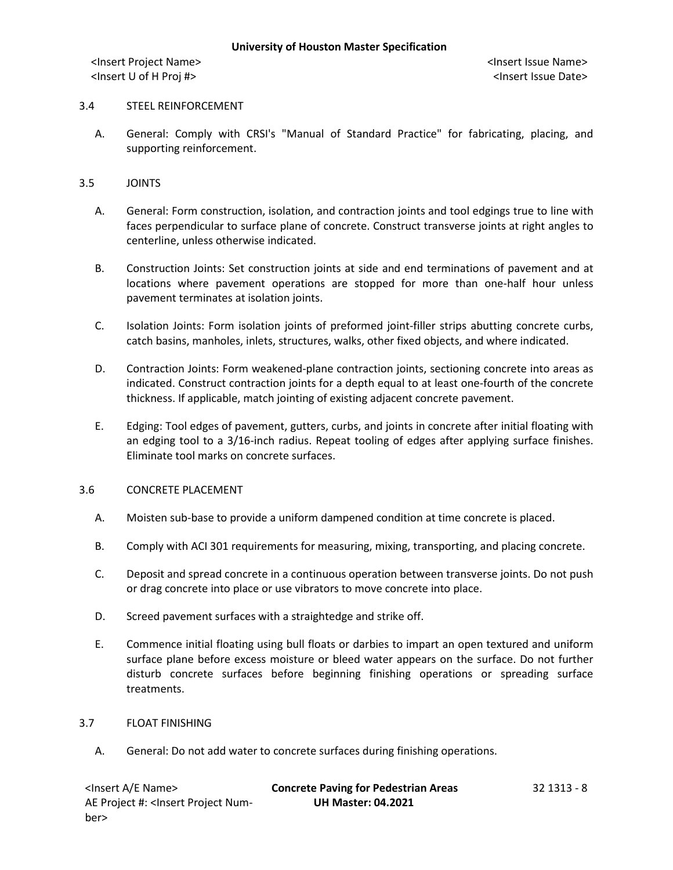## 3.4 STEEL REINFORCEMENT

A. General: Comply with CRSI's "Manual of Standard Practice" for fabricating, placing, and supporting reinforcement.

## 3.5 JOINTS

- A. General: Form construction, isolation, and contraction joints and tool edgings true to line with faces perpendicular to surface plane of concrete. Construct transverse joints at right angles to centerline, unless otherwise indicated.
- B. Construction Joints: Set construction joints at side and end terminations of pavement and at locations where pavement operations are stopped for more than one-half hour unless pavement terminates at isolation joints.
- C. Isolation Joints: Form isolation joints of preformed joint-filler strips abutting concrete curbs, catch basins, manholes, inlets, structures, walks, other fixed objects, and where indicated.
- D. Contraction Joints: Form weakened-plane contraction joints, sectioning concrete into areas as indicated. Construct contraction joints for a depth equal to at least one-fourth of the concrete thickness. If applicable, match jointing of existing adjacent concrete pavement.
- E. Edging: Tool edges of pavement, gutters, curbs, and joints in concrete after initial floating with an edging tool to a 3/16-inch radius. Repeat tooling of edges after applying surface finishes. Eliminate tool marks on concrete surfaces.

#### 3.6 CONCRETE PLACEMENT

- A. Moisten sub-base to provide a uniform dampened condition at time concrete is placed.
- B. Comply with ACI 301 requirements for measuring, mixing, transporting, and placing concrete.
- C. Deposit and spread concrete in a continuous operation between transverse joints. Do not push or drag concrete into place or use vibrators to move concrete into place.
- D. Screed pavement surfaces with a straightedge and strike off.
- E. Commence initial floating using bull floats or darbies to impart an open textured and uniform surface plane before excess moisture or bleed water appears on the surface. Do not further disturb concrete surfaces before beginning finishing operations or spreading surface treatments.

#### 3.7 FLOAT FINISHING

A. General: Do not add water to concrete surfaces during finishing operations.

| <lnsert a="" e="" name=""></lnsert>                                                                  | <b>Concrete Paving for Pedestrian Areas</b> | 32 1313 - 8 |
|------------------------------------------------------------------------------------------------------|---------------------------------------------|-------------|
| AE Project #: <lnsert num-<="" project="" td=""><td><b>UH Master: 04.2021</b></td><td></td></lnsert> | <b>UH Master: 04.2021</b>                   |             |
| ber>                                                                                                 |                                             |             |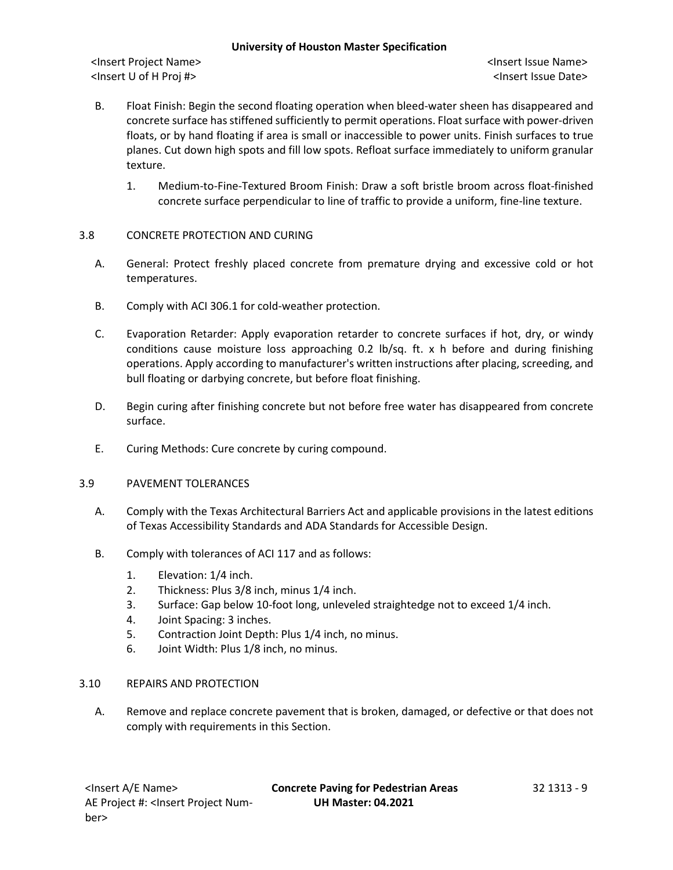<Insert Project Name> <Insert Issue Name> <Insert U of H Proj #> <Insert Issue Date>

- B. Float Finish: Begin the second floating operation when bleed-water sheen has disappeared and concrete surface has stiffened sufficiently to permit operations. Float surface with power-driven floats, or by hand floating if area is small or inaccessible to power units. Finish surfaces to true planes. Cut down high spots and fill low spots. Refloat surface immediately to uniform granular texture.
	- 1. Medium-to-Fine-Textured Broom Finish: Draw a soft bristle broom across float-finished concrete surface perpendicular to line of traffic to provide a uniform, fine-line texture.

# 3.8 CONCRETE PROTECTION AND CURING

- A. General: Protect freshly placed concrete from premature drying and excessive cold or hot temperatures.
- B. Comply with ACI 306.1 for cold-weather protection.
- C. Evaporation Retarder: Apply evaporation retarder to concrete surfaces if hot, dry, or windy conditions cause moisture loss approaching 0.2 lb/sq. ft. x h before and during finishing operations. Apply according to manufacturer's written instructions after placing, screeding, and bull floating or darbying concrete, but before float finishing.
- D. Begin curing after finishing concrete but not before free water has disappeared from concrete surface.
- E. Curing Methods: Cure concrete by curing compound.

# 3.9 PAVEMENT TOLERANCES

- A. Comply with the Texas Architectural Barriers Act and applicable provisions in the latest editions of Texas Accessibility Standards and ADA Standards for Accessible Design.
- B. Comply with tolerances of ACI 117 and as follows:
	- 1. Elevation: 1/4 inch.
	- 2. Thickness: Plus 3/8 inch, minus 1/4 inch.
	- 3. Surface: Gap below 10-foot long, unleveled straightedge not to exceed 1/4 inch.
	- 4. Joint Spacing: 3 inches.
	- 5. Contraction Joint Depth: Plus 1/4 inch, no minus.
	- 6. Joint Width: Plus 1/8 inch, no minus.

# 3.10 REPAIRS AND PROTECTION

A. Remove and replace concrete pavement that is broken, damaged, or defective or that does not comply with requirements in this Section.

<Insert A/E Name> **Concrete Paving for Pedestrian Areas** 32 1313 - 9 **UH Master: 04.2021**